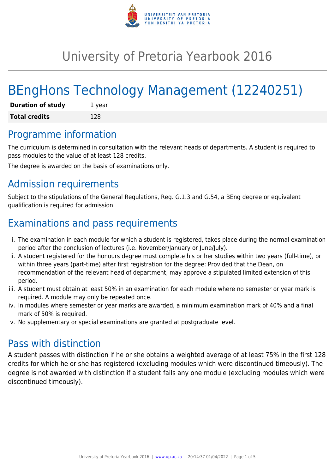

# University of Pretoria Yearbook 2016

# BEngHons Technology Management (12240251)

| <b>Duration of study</b> | 1 year |
|--------------------------|--------|
| <b>Total credits</b>     | 128    |

## Programme information

The curriculum is determined in consultation with the relevant heads of departments. A student is required to pass modules to the value of at least 128 credits.

The degree is awarded on the basis of examinations only.

# Admission requirements

Subject to the stipulations of the General Regulations, Reg. G.1.3 and G.54, a BEng degree or equivalent qualification is required for admission.

# Examinations and pass requirements

- i. The examination in each module for which a student is registered, takes place during the normal examination period after the conclusion of lectures (i.e. November/January or June/July).
- ii. A student registered for the honours degree must complete his or her studies within two years (full-time), or within three years (part-time) after first registration for the degree: Provided that the Dean, on recommendation of the relevant head of department, may approve a stipulated limited extension of this period.
- iii. A student must obtain at least 50% in an examination for each module where no semester or year mark is required. A module may only be repeated once.
- iv. In modules where semester or year marks are awarded, a minimum examination mark of 40% and a final mark of 50% is required.
- v. No supplementary or special examinations are granted at postgraduate level.

## Pass with distinction

A student passes with distinction if he or she obtains a weighted average of at least 75% in the first 128 credits for which he or she has registered (excluding modules which were discontinued timeously). The degree is not awarded with distinction if a student fails any one module (excluding modules which were discontinued timeously).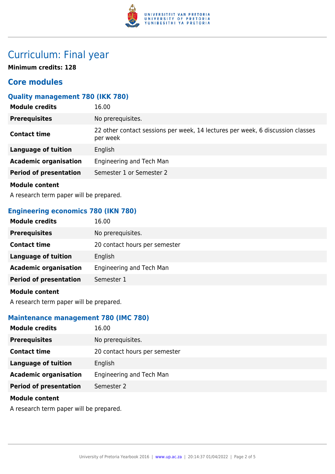

# Curriculum: Final year

**Minimum credits: 128**

## **Core modules**

#### **Quality management 780 (IKK 780)**

| <b>Module credits</b>         | 16.00                                                                                      |
|-------------------------------|--------------------------------------------------------------------------------------------|
| <b>Prerequisites</b>          | No prerequisites.                                                                          |
| <b>Contact time</b>           | 22 other contact sessions per week, 14 lectures per week, 6 discussion classes<br>per week |
| <b>Language of tuition</b>    | English                                                                                    |
| <b>Academic organisation</b>  | Engineering and Tech Man                                                                   |
| <b>Period of presentation</b> | Semester 1 or Semester 2                                                                   |
| <b>Module content</b>         |                                                                                            |

A research term paper will be prepared.

#### **Engineering economics 780 (IKN 780)**

| <b>Module credits</b>         | 16.00                         |
|-------------------------------|-------------------------------|
| <b>Prerequisites</b>          | No prerequisites.             |
| <b>Contact time</b>           | 20 contact hours per semester |
| <b>Language of tuition</b>    | English                       |
| <b>Academic organisation</b>  | Engineering and Tech Man      |
| <b>Period of presentation</b> | Semester 1                    |
| <b>Module content</b>         |                               |

A research term paper will be prepared.

#### **Maintenance management 780 (IMC 780)**

| <b>Module credits</b>         | 16.00                         |
|-------------------------------|-------------------------------|
| <b>Prerequisites</b>          | No prerequisites.             |
| <b>Contact time</b>           | 20 contact hours per semester |
| <b>Language of tuition</b>    | English                       |
| <b>Academic organisation</b>  | Engineering and Tech Man      |
| <b>Period of presentation</b> | Semester 2                    |
| <b>Module content</b>         |                               |

A research term paper will be prepared.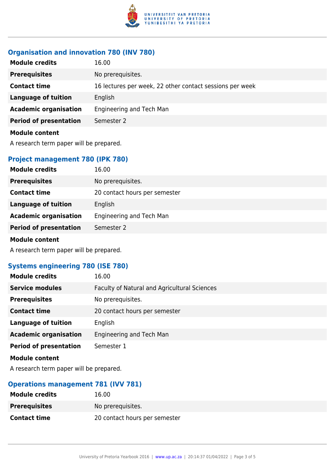

## **Organisation and innovation 780 (INV 780)**

| <b>Module credits</b>         | 16.00                                                    |
|-------------------------------|----------------------------------------------------------|
| <b>Prerequisites</b>          | No prerequisites.                                        |
| <b>Contact time</b>           | 16 lectures per week, 22 other contact sessions per week |
| <b>Language of tuition</b>    | English                                                  |
| <b>Academic organisation</b>  | Engineering and Tech Man                                 |
| <b>Period of presentation</b> | Semester 2                                               |
| <b>Module content</b>         |                                                          |
|                               |                                                          |

A research term paper will be prepared.

## **Project management 780 (IPK 780)**

| <b>Module credits</b>         | 16.00                         |
|-------------------------------|-------------------------------|
| <b>Prerequisites</b>          | No prerequisites.             |
| <b>Contact time</b>           | 20 contact hours per semester |
| Language of tuition           | English                       |
| <b>Academic organisation</b>  | Engineering and Tech Man      |
| <b>Period of presentation</b> | Semester 2                    |
| <b>Module content</b>         |                               |

A research term paper will be prepared.

### **Systems engineering 780 (ISE 780)**

| <b>Module credits</b>         | 16.00                                        |
|-------------------------------|----------------------------------------------|
| <b>Service modules</b>        | Faculty of Natural and Agricultural Sciences |
| <b>Prerequisites</b>          | No prerequisites.                            |
| <b>Contact time</b>           | 20 contact hours per semester                |
| <b>Language of tuition</b>    | English                                      |
| <b>Academic organisation</b>  | Engineering and Tech Man                     |
| <b>Period of presentation</b> | Semester 1                                   |
| <b>Module content</b>         |                                              |

A research term paper will be prepared.

### **Operations management 781 (IVV 781)**

| <b>Module credits</b> | 16.00                         |
|-----------------------|-------------------------------|
| <b>Prerequisites</b>  | No prereguisites.             |
| <b>Contact time</b>   | 20 contact hours per semester |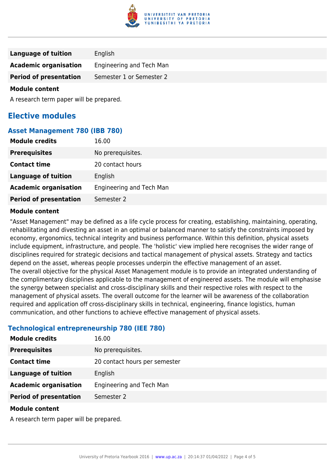

| Language of tuition           | English                  |
|-------------------------------|--------------------------|
| <b>Academic organisation</b>  | Engineering and Tech Man |
| <b>Period of presentation</b> | Semester 1 or Semester 2 |
| Adam Julian Andrews Adam A    |                          |

#### **Module content**

A research term paper will be prepared.

## **Elective modules**

#### **Asset Management 780 (IBB 780)**

| <b>Module credits</b>         | 16.00                    |
|-------------------------------|--------------------------|
| <b>Prerequisites</b>          | No prerequisites.        |
| <b>Contact time</b>           | 20 contact hours         |
| <b>Language of tuition</b>    | English                  |
| <b>Academic organisation</b>  | Engineering and Tech Man |
| <b>Period of presentation</b> | Semester 2               |

#### **Module content**

"Asset Management" may be defined as a life cycle process for creating, establishing, maintaining, operating, rehabilitating and divesting an asset in an optimal or balanced manner to satisfy the constraints imposed by economy, ergonomics, technical integrity and business performance. Within this definition, physical assets include equipment, infrastructure, and people. The 'holistic' view implied here recognises the wider range of disciplines required for strategic decisions and tactical management of physical assets. Strategy and tactics depend on the asset, whereas people processes underpin the effective management of an asset. The overall objective for the physical Asset Management module is to provide an integrated understanding of the complimentary disciplines applicable to the management of engineered assets. The module will emphasise the synergy between specialist and cross-disciplinary skills and their respective roles with respect to the management of physical assets. The overall outcome for the learner will be awareness of the collaboration required and application off cross-disciplinary skills in technical, engineering, finance logistics, human communication, and other functions to achieve effective management of physical assets.

#### **Technological entrepreneurship 780 (IEE 780)**

| <b>Module credits</b>                                                                                                                                                                                                                | 16.00                         |
|--------------------------------------------------------------------------------------------------------------------------------------------------------------------------------------------------------------------------------------|-------------------------------|
| <b>Prerequisites</b>                                                                                                                                                                                                                 | No prerequisites.             |
| <b>Contact time</b>                                                                                                                                                                                                                  | 20 contact hours per semester |
| <b>Language of tuition</b>                                                                                                                                                                                                           | English                       |
| <b>Academic organisation</b>                                                                                                                                                                                                         | Engineering and Tech Man      |
| <b>Period of presentation</b>                                                                                                                                                                                                        | Semester 2                    |
| <b>Address to the contract of the contract of the contract of the contract of the contract of the contract of the contract of the contract of the contract of the contract of the contract of the contract of the contract of th</b> |                               |

#### **Module content**

A research term paper will be prepared.